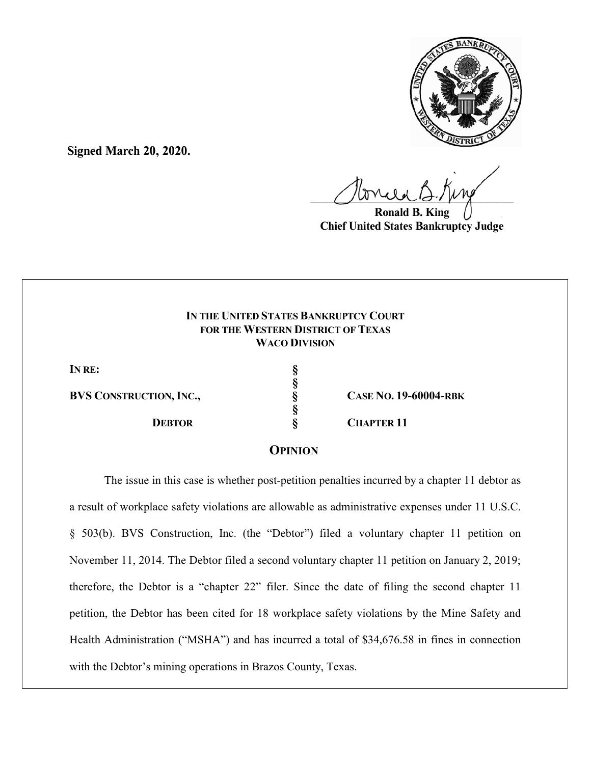

**Signed March 20, 2020.**

 $U^{WVWW}$ 

**Ronald B. King Chief United States Bankruptcy Judge**

# **IN THE UNITED STATES BANKRUPTCY COURT FOR THE WESTERN DISTRICT OF TEXAS WACO DIVISION**

**§**

**§**

**IN RE: §**

**BVS CONSTRUCTION, INC., § CASE NO. 19-60004-RBK**

 **DEBTOR § CHAPTER 11**

# **OPINION**

The issue in this case is whether post-petition penalties incurred by a chapter 11 debtor as a result of workplace safety violations are allowable as administrative expenses under 11 U.S.C. § 503(b). BVS Construction, Inc. (the "Debtor") filed a voluntary chapter 11 petition on November 11, 2014. The Debtor filed a second voluntary chapter 11 petition on January 2, 2019; therefore, the Debtor is a "chapter 22" filer. Since the date of filing the second chapter 11 petition, the Debtor has been cited for 18 workplace safety violations by the Mine Safety and Health Administration ("MSHA") and has incurred a total of \$34,676.58 in fines in connection with the Debtor's mining operations in Brazos County, Texas.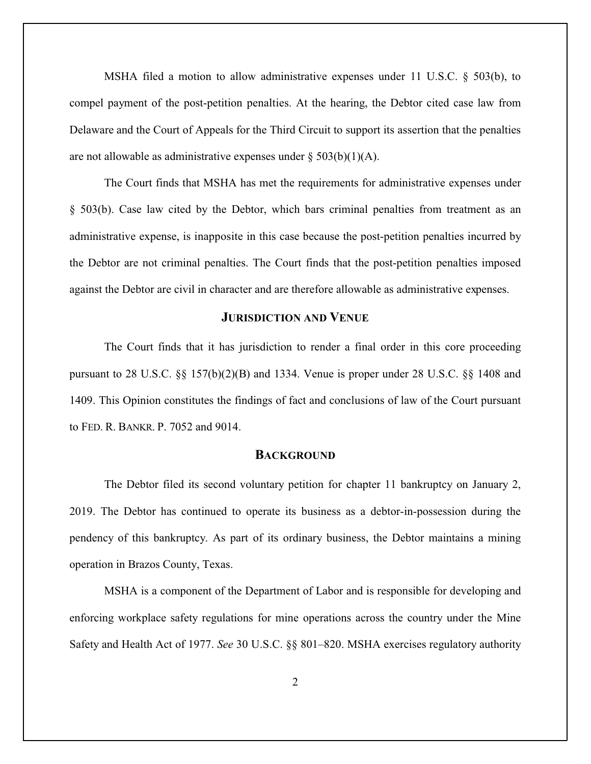MSHA filed a motion to allow administrative expenses under 11 U.S.C. § 503(b), to compel payment of the post-petition penalties. At the hearing, the Debtor cited case law from Delaware and the Court of Appeals for the Third Circuit to support its assertion that the penalties are not allowable as administrative expenses under  $\S 503(b)(1)(A)$ .

The Court finds that MSHA has met the requirements for administrative expenses under § 503(b). Case law cited by the Debtor, which bars criminal penalties from treatment as an administrative expense, is inapposite in this case because the post-petition penalties incurred by the Debtor are not criminal penalties. The Court finds that the post-petition penalties imposed against the Debtor are civil in character and are therefore allowable as administrative expenses.

### **JURISDICTION AND VENUE**

The Court finds that it has jurisdiction to render a final order in this core proceeding pursuant to 28 U.S.C. §§ 157(b)(2)(B) and 1334. Venue is proper under 28 U.S.C. §§ 1408 and 1409. This Opinion constitutes the findings of fact and conclusions of law of the Court pursuant to FED. R. BANKR. P. 7052 and 9014.

#### **BACKGROUND**

The Debtor filed its second voluntary petition for chapter 11 bankruptcy on January 2, 2019. The Debtor has continued to operate its business as a debtor-in-possession during the pendency of this bankruptcy. As part of its ordinary business, the Debtor maintains a mining operation in Brazos County, Texas.

MSHA is a component of the Department of Labor and is responsible for developing and enforcing workplace safety regulations for mine operations across the country under the Mine Safety and Health Act of 1977. *See* 30 U.S.C. §§ 801–820. MSHA exercises regulatory authority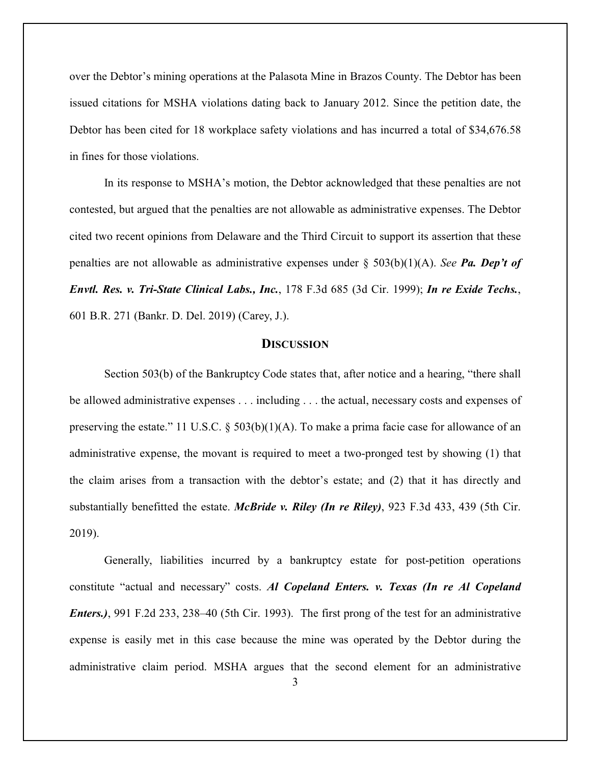over the Debtor's mining operations at the Palasota Mine in Brazos County. The Debtor has been issued citations for MSHA violations dating back to January 2012. Since the petition date, the Debtor has been cited for 18 workplace safety violations and has incurred a total of \$34,676.58 in fines for those violations.

In its response to MSHA's motion, the Debtor acknowledged that these penalties are not contested, but argued that the penalties are not allowable as administrative expenses. The Debtor cited two recent opinions from Delaware and the Third Circuit to support its assertion that these penalties are not allowable as administrative expenses under § 503(b)(1)(A). *See Pa. Dep't of Envtl. Res. v. Tri-State Clinical Labs., Inc.*, 178 F.3d 685 (3d Cir. 1999); *In re Exide Techs.*, 601 B.R. 271 (Bankr. D. Del. 2019) (Carey, J.).

#### **DISCUSSION**

Section 503(b) of the Bankruptcy Code states that, after notice and a hearing, "there shall be allowed administrative expenses . . . including . . . the actual, necessary costs and expenses of preserving the estate." 11 U.S.C. § 503(b)(1)(A). To make a prima facie case for allowance of an administrative expense, the movant is required to meet a two-pronged test by showing (1) that the claim arises from a transaction with the debtor's estate; and (2) that it has directly and substantially benefitted the estate. *McBride v. Riley (In re Riley)*, 923 F.3d 433, 439 (5th Cir. 2019).

Generally, liabilities incurred by a bankruptcy estate for post-petition operations constitute "actual and necessary" costs. *Al Copeland Enters. v. Texas (In re Al Copeland Enters.)*, 991 F.2d 233, 238–40 (5th Cir. 1993). The first prong of the test for an administrative expense is easily met in this case because the mine was operated by the Debtor during the administrative claim period. MSHA argues that the second element for an administrative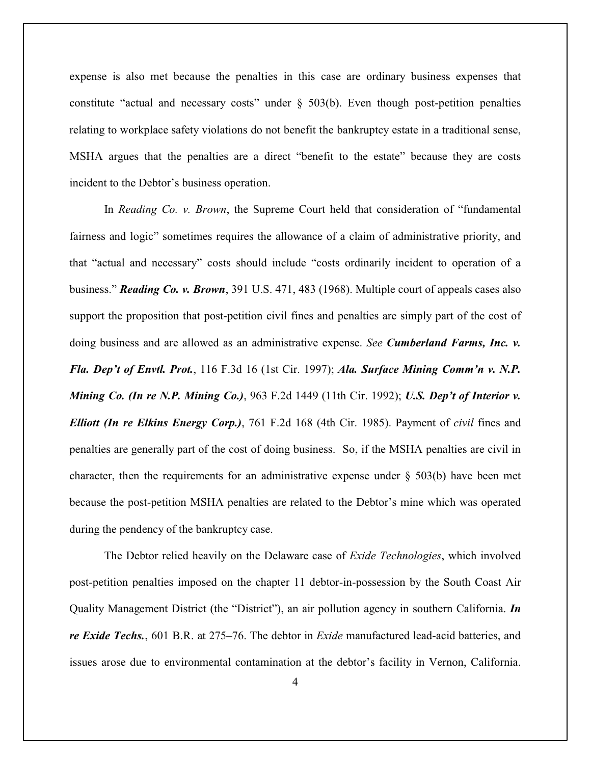expense is also met because the penalties in this case are ordinary business expenses that constitute "actual and necessary costs" under § 503(b). Even though post-petition penalties relating to workplace safety violations do not benefit the bankruptcy estate in a traditional sense, MSHA argues that the penalties are a direct "benefit to the estate" because they are costs incident to the Debtor's business operation.

In *Reading Co. v. Brown*, the Supreme Court held that consideration of "fundamental fairness and logic" sometimes requires the allowance of a claim of administrative priority, and that "actual and necessary" costs should include "costs ordinarily incident to operation of a business." *Reading Co. v. Brown*, 391 U.S. 471, 483 (1968). Multiple court of appeals cases also support the proposition that post-petition civil fines and penalties are simply part of the cost of doing business and are allowed as an administrative expense. *See Cumberland Farms, Inc. v. Fla. Dep't of Envtl. Prot.*, 116 F.3d 16 (1st Cir. 1997); *Ala. Surface Mining Comm'n v. N.P. Mining Co. (In re N.P. Mining Co.)*, 963 F.2d 1449 (11th Cir. 1992); *U.S. Dep't of Interior v. Elliott (In re Elkins Energy Corp.)*, 761 F.2d 168 (4th Cir. 1985). Payment of *civil* fines and penalties are generally part of the cost of doing business. So, if the MSHA penalties are civil in character, then the requirements for an administrative expense under  $\S$  503(b) have been met because the post-petition MSHA penalties are related to the Debtor's mine which was operated during the pendency of the bankruptcy case.

The Debtor relied heavily on the Delaware case of *Exide Technologies*, which involved post-petition penalties imposed on the chapter 11 debtor-in-possession by the South Coast Air Quality Management District (the "District"), an air pollution agency in southern California. *In re Exide Techs.*, 601 B.R. at 275–76. The debtor in *Exide* manufactured lead-acid batteries, and issues arose due to environmental contamination at the debtor's facility in Vernon, California.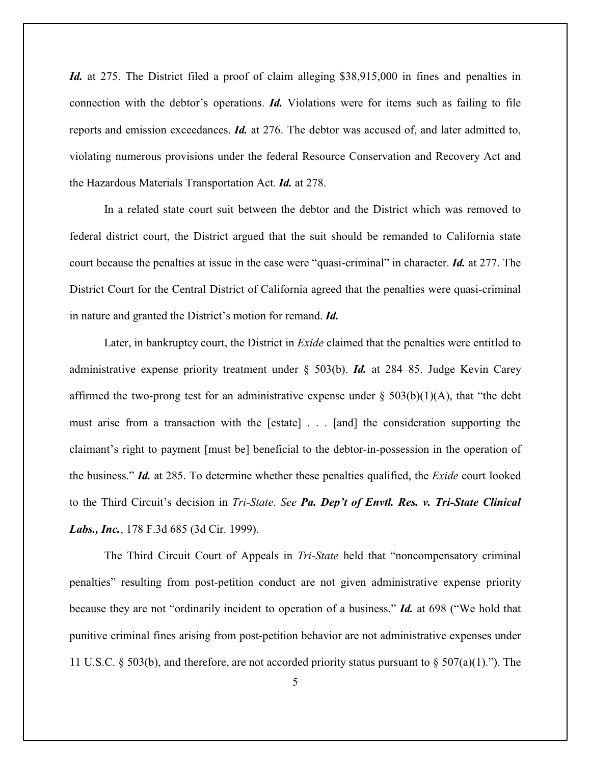*Id.* at 275. The District filed a proof of claim alleging \$38,915,000 in fines and penalties in connection with the debtor's operations. *Id.* Violations were for items such as failing to file reports and emission exceedances. *Id.* at 276. The debtor was accused of, and later admitted to, violating numerous provisions under the federal Resource Conservation and Recovery Act and the Hazardous Materials Transportation Act. *Id.* at 278.

In a related state court suit between the debtor and the District which was removed to federal district court, the District argued that the suit should be remanded to California state court because the penalties at issue in the case were "quasi-criminal" in character. *Id.* at 277. The District Court for the Central District of California agreed that the penalties were quasi-criminal in nature and granted the District's motion for remand. *Id.*

Later, in bankruptcy court, the District in *Exide* claimed that the penalties were entitled to administrative expense priority treatment under § 503(b). *Id.* at 284–85. Judge Kevin Carey affirmed the two-prong test for an administrative expense under  $\S$  503(b)(1)(A), that "the debt must arise from a transaction with the [estate] . . . [and] the consideration supporting the claimant's right to payment [must be] beneficial to the debtor-in-possession in the operation of the business." *Id.* at 285. To determine whether these penalties qualified, the *Exide* court looked to the Third Circuit's decision in *Tri-State*. *See Pa. Dep't of Envtl. Res. v. Tri-State Clinical Labs., Inc.*, 178 F.3d 685 (3d Cir. 1999).

The Third Circuit Court of Appeals in *Tri-State* held that "noncompensatory criminal penalties" resulting from post-petition conduct are not given administrative expense priority because they are not "ordinarily incident to operation of a business." *Id.* at 698 ("We hold that punitive criminal fines arising from post-petition behavior are not administrative expenses under 11 U.S.C. § 503(b), and therefore, are not accorded priority status pursuant to § 507(a)(1)."). The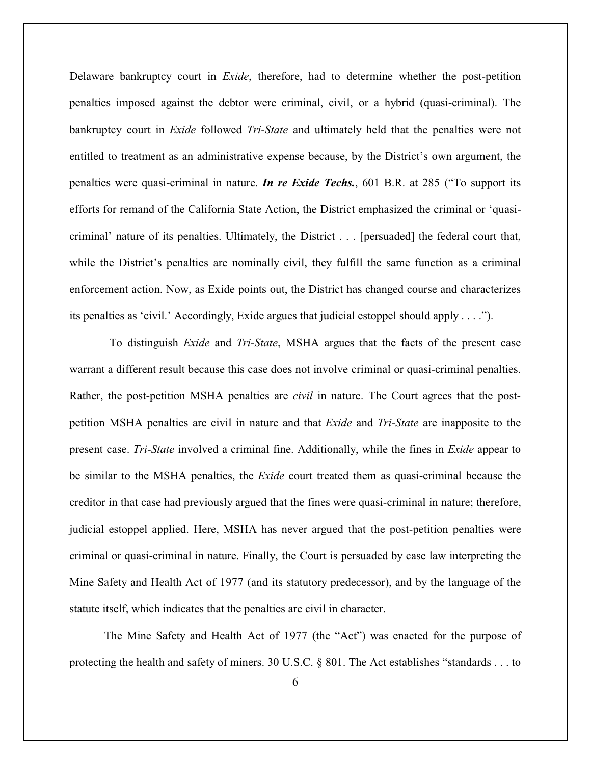Delaware bankruptcy court in *Exide*, therefore, had to determine whether the post-petition penalties imposed against the debtor were criminal, civil, or a hybrid (quasi-criminal). The bankruptcy court in *Exide* followed *Tri-State* and ultimately held that the penalties were not entitled to treatment as an administrative expense because, by the District's own argument, the penalties were quasi-criminal in nature. *In re Exide Techs.*, 601 B.R. at 285 ("To support its efforts for remand of the California State Action, the District emphasized the criminal or 'quasicriminal' nature of its penalties. Ultimately, the District . . . [persuaded] the federal court that, while the District's penalties are nominally civil, they fulfill the same function as a criminal enforcement action. Now, as Exide points out, the District has changed course and characterizes its penalties as 'civil.' Accordingly, Exide argues that judicial estoppel should apply . . . .").

To distinguish *Exide* and *Tri-State*, MSHA argues that the facts of the present case warrant a different result because this case does not involve criminal or quasi-criminal penalties. Rather, the post-petition MSHA penalties are *civil* in nature. The Court agrees that the postpetition MSHA penalties are civil in nature and that *Exide* and *Tri-State* are inapposite to the present case. *Tri-State* involved a criminal fine. Additionally, while the fines in *Exide* appear to be similar to the MSHA penalties, the *Exide* court treated them as quasi-criminal because the creditor in that case had previously argued that the fines were quasi-criminal in nature; therefore, judicial estoppel applied. Here, MSHA has never argued that the post-petition penalties were criminal or quasi-criminal in nature. Finally, the Court is persuaded by case law interpreting the Mine Safety and Health Act of 1977 (and its statutory predecessor), and by the language of the statute itself, which indicates that the penalties are civil in character.

The Mine Safety and Health Act of 1977 (the "Act") was enacted for the purpose of protecting the health and safety of miners. 30 U.S.C. § 801. The Act establishes "standards . . . to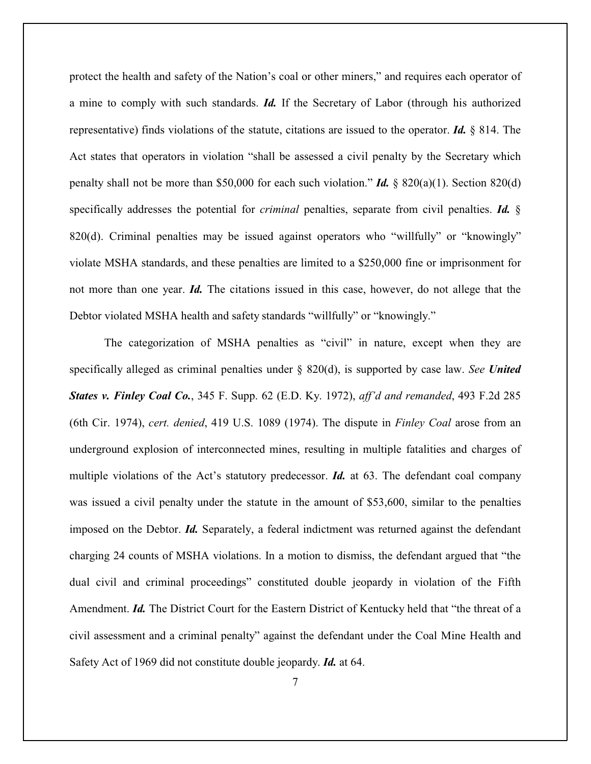protect the health and safety of the Nation's coal or other miners," and requires each operator of a mine to comply with such standards. *Id.* If the Secretary of Labor (through his authorized representative) finds violations of the statute, citations are issued to the operator. *Id.* § 814. The Act states that operators in violation "shall be assessed a civil penalty by the Secretary which penalty shall not be more than \$50,000 for each such violation." *Id.*  $\&$  820(a)(1). Section 820(d) specifically addresses the potential for *criminal* penalties, separate from civil penalties. *Id.* § 820(d). Criminal penalties may be issued against operators who "willfully" or "knowingly" violate MSHA standards, and these penalties are limited to a \$250,000 fine or imprisonment for not more than one year. *Id.* The citations issued in this case, however, do not allege that the Debtor violated MSHA health and safety standards "willfully" or "knowingly."

The categorization of MSHA penalties as "civil" in nature, except when they are specifically alleged as criminal penalties under § 820(d), is supported by case law. *See United States v. Finley Coal Co.*, 345 F. Supp. 62 (E.D. Ky. 1972), *aff'd and remanded*, 493 F.2d 285 (6th Cir. 1974), *cert. denied*, 419 U.S. 1089 (1974). The dispute in *Finley Coal* arose from an underground explosion of interconnected mines, resulting in multiple fatalities and charges of multiple violations of the Act's statutory predecessor. *Id.* at 63. The defendant coal company was issued a civil penalty under the statute in the amount of \$53,600, similar to the penalties imposed on the Debtor. *Id.* Separately, a federal indictment was returned against the defendant charging 24 counts of MSHA violations. In a motion to dismiss, the defendant argued that "the dual civil and criminal proceedings" constituted double jeopardy in violation of the Fifth Amendment. *Id.* The District Court for the Eastern District of Kentucky held that "the threat of a civil assessment and a criminal penalty" against the defendant under the Coal Mine Health and Safety Act of 1969 did not constitute double jeopardy. *Id.* at 64.